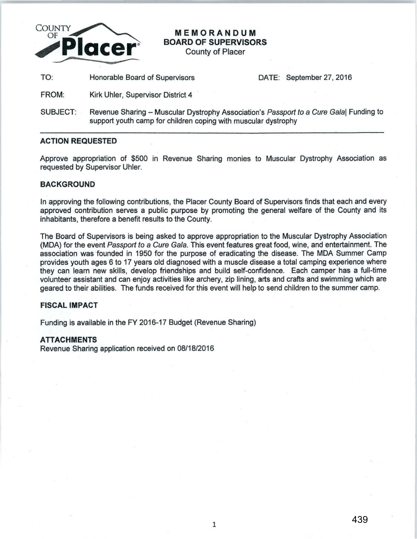

# **MEMORANDUM BOARD OF SUPERVISORS**

County of Placer

TO: Honorable Board of Supervisors DATE: September 27, 2016

FROM: Kirk Uhler, Supervisor District 4

SUBJECT: Revenue Sharing - Muscular Dystrophy Association's Passport to a Cure Gala| Funding to support youth camp for children coping with muscular dystrophy

### **ACTION REQUESTED**

Approve appropriation of \$500 in Revenue Sharing monies to Muscular Dystrophy Association as requested by Supervisor Uhler.

## **BACKGROUND**

In approving the following contributions, the Placer County Board of Supervisors finds that each and every approved contribution serves a public purpose by promoting the general welfare of the County and its inhabitants, therefore a benefit results to the County.

The Board of Supervisors is being asked to approve appropriation to the Muscular Dystrophy Association (MDA) for the event Passport to a Cure Gala. This event features great food, wine, and entertainment. The association was founded in 1950 for the purpose of eradicating the disease. The MDA Summer Camp provides youth ages 6 to 17 years old diagnosed with a muscle disease a total camping experience where they can learn new skills, develop friendships and build self-confidence. Each camper has a full-time volunteer assistant and can enjoy activities like archery, zip lining, arts and crafts and swimming which are geared to their abilities. The funds received for this event will help to send children to the summer camp.

## **FISCAL IMPACT**

Funding is available in the FY 2016-17 Budget (Revenue Sharing)

### **ATTACHMENTS**

Revenue Sharing application received on 08/18/2016